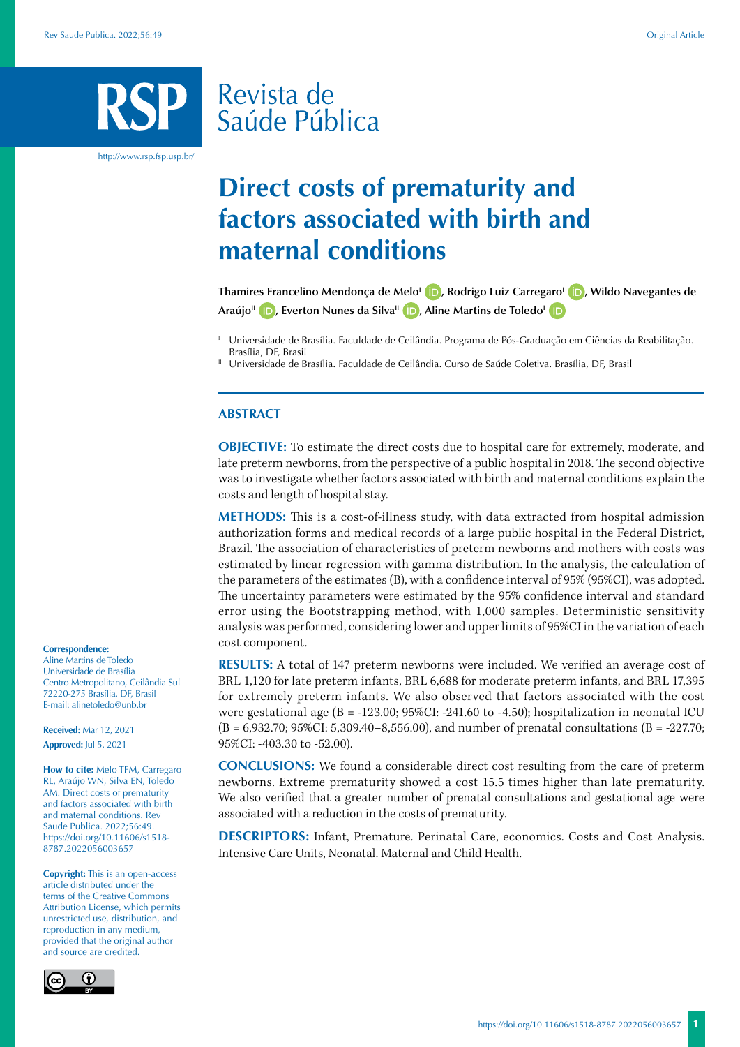# Revista de Saúde Pública

http://www.rsp.fsp.usp.br/

## **Direct costs of prematurity and factors associated with birth and maternal conditions**

**Thamires Francelino Mendonça de Melo<sup>1</sup> (D)[,](https://orcid.org/0000-0003-4664-1703) Rodrigo Luiz Carregaro<sup>1</sup> (D)[,](https://orcid.org/0000-0002-2382-0787) Wildo Navegantes de Araújo<sup>II</sup> <b>i.** Everton Nunes da Silva<sup>II</sup> **i.** Aline Martins de Toledo<sup>I</sup> **i.** 

<sup>I</sup> Universidade de Brasília. Faculdade de Ceilândia. Programa de Pós-Graduação em Ciências da Reabilitação. Brasília, DF, Brasil<br>Universidade de Brasília. Faculdade de Ceilândia. Curso de Saúde Coletiva. Brasília, DF, Brasil

#### **ABSTRACT**

**OBJECTIVE:** To estimate the direct costs due to hospital care for extremely, moderate, and late preterm newborns, from the perspective of a public hospital in 2018. The second objective was to investigate whether factors associated with birth and maternal conditions explain the costs and length of hospital stay.

**METHODS:** This is a cost-of-illness study, with data extracted from hospital admission authorization forms and medical records of a large public hospital in the Federal District, Brazil. The association of characteristics of preterm newborns and mothers with costs was estimated by linear regression with gamma distribution. In the analysis, the calculation of the parameters of the estimates (B), with a confidence interval of 95% (95%CI), was adopted. The uncertainty parameters were estimated by the 95% confidence interval and standard error using the Bootstrapping method, with 1,000 samples. Deterministic sensitivity analysis was performed, considering lower and upper limits of 95%CI in the variation of each cost component.

**RESULTS:** A total of 147 preterm newborns were included. We verified an average cost of BRL 1,120 for late preterm infants, BRL 6,688 for moderate preterm infants, and BRL 17,395 for extremely preterm infants. We also observed that factors associated with the cost were gestational age  $(B = -123.00; 95\% CI: -241.60$  to  $-4.50$ ; hospitalization in neonatal ICU  $(B = 6.932.70; 95\% CI: 5,309.40 - 8,556.00)$ , and number of prenatal consultations  $(B = -227.70;$ 95%CI: -403.30 to -52.00).

**CONCLUSIONS:** We found a considerable direct cost resulting from the care of preterm newborns. Extreme prematurity showed a cost 15.5 times higher than late prematurity. We also verified that a greater number of prenatal consultations and gestational age were associated with a reduction in the costs of prematurity.

**DESCRIPTORS:** Infant, Premature. Perinatal Care, economics. Costs and Cost Analysis. Intensive Care Units, Neonatal. Maternal and Child Health.

#### **Correspondence:**

Aline Martins de Toledo Universidade de Brasília Centro Metropolitano, Ceilândia Sul 72220-275 Brasília, DF, Brasil E-mail: alinetoledo@unb.br

**Received:** Mar 12, 2021 **Approved:** Jul 5, 2021

**How to cite:** Melo TFM, Carregaro RL, Araújo WN, Silva EN, Toledo AM. Direct costs of prematurity and factors associated with birth and maternal conditions. Rev Saude Publica. 2022;56:49. https://doi.org/10.11606/s1518- 8787.2022056003657

**Copyright:** This is an open-access article distributed under the terms of the Creative Commons Attribution License, which permits unrestricted use, distribution, and reproduction in any medium, provided that the original author and source are credited.

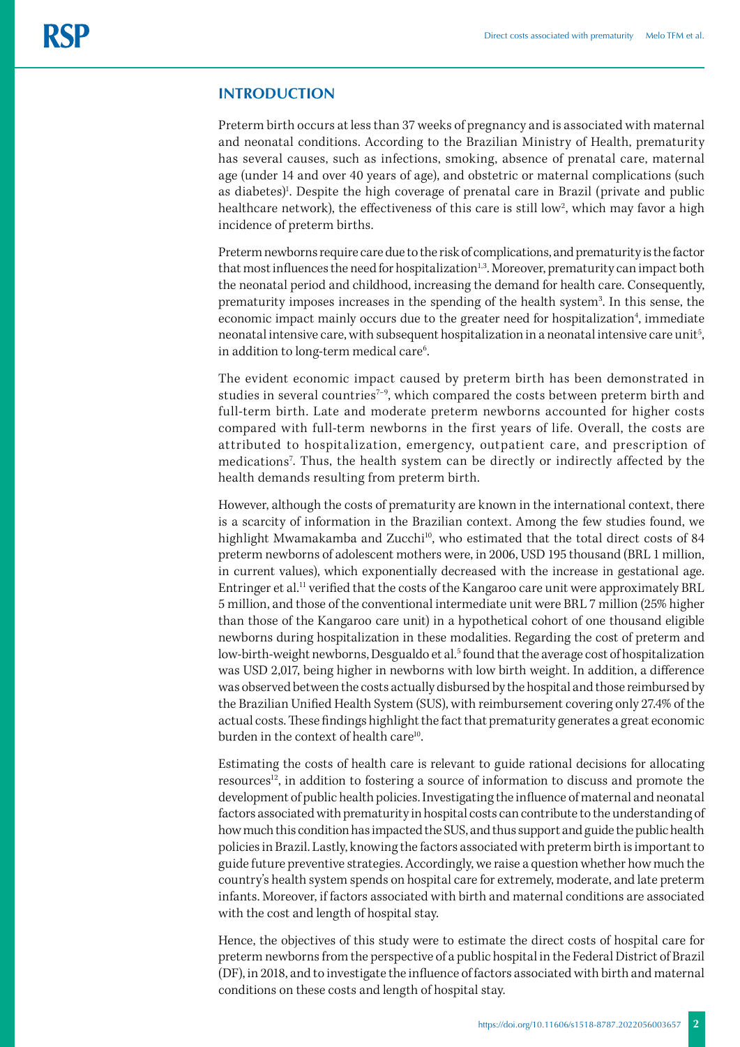## **INTRODUCTION**

Preterm birth occurs at less than 37 weeks of pregnancy and is associated with maternal and neonatal conditions. According to the Brazilian Ministry of Health, prematurity has several causes, such as infections, smoking, absence of prenatal care, maternal age (under 14 and over 40 years of age), and obstetric or maternal complications (such as diabetes)<sup>1</sup>. Despite the high coverage of prenatal care in Brazil (private and public healthcare network), the effectiveness of this care is still low<sup>2</sup>, which may favor a high incidence of preterm births.

Preterm newborns require care due to the risk of complications, and prematurity is the factor that most influences the need for hospitalization<sup>1,3</sup>. Moreover, prematurity can impact both the neonatal period and childhood, increasing the demand for health care. Consequently, prematurity imposes increases in the spending of the health system<sup>3</sup>. In this sense, the economic impact mainly occurs due to the greater need for hospitalization<sup>4</sup>, immediate neonatal intensive care, with subsequent hospitalization in a neonatal intensive care unit<sup>5</sup>, in addition to long-term medical care<sup>6</sup>. .

The evident economic impact caused by preterm birth has been demonstrated in studies in several countries<sup> $7-9$ </sup>, which compared the costs between preterm birth and full-term birth. Late and moderate preterm newborns accounted for higher costs compared with full-term newborns in the first years of life. Overall, the costs are attributed to hospitalization, emergency, outpatient care, and prescription of medications7 . Thus, the health system can be directly or indirectly affected by the health demands resulting from preterm birth.

However, although the costs of prematurity are known in the international context, there is a scarcity of information in the Brazilian context. Among the few studies found, we highlight Mwamakamba and Zucchi<sup>10</sup>, who estimated that the total direct costs of 84 preterm newborns of adolescent mothers were, in 2006, USD 195 thousand (BRL 1 million, in current values), which exponentially decreased with the increase in gestational age. Entringer et al.<sup>11</sup> verified that the costs of the Kangaroo care unit were approximately BRL 5 million, and those of the conventional intermediate unit were BRL 7 million (25% higher than those of the Kangaroo care unit) in a hypothetical cohort of one thousand eligible newborns during hospitalization in these modalities. Regarding the cost of preterm and low-birth-weight newborns, Desgualdo et al.<sup>5</sup> found that the average cost of hospitalization was USD 2,017, being higher in newborns with low birth weight. In addition, a difference was observed between the costs actually disbursed by the hospital and those reimbursed by the Brazilian Unified Health System (SUS), with reimbursement covering only 27.4% of the actual costs. These findings highlight the fact that prematurity generates a great economic burden in the context of health care<sup>10</sup>.

Estimating the costs of health care is relevant to guide rational decisions for allocating resources<sup>12</sup>, in addition to fostering a source of information to discuss and promote the development of public health policies. Investigating the influence of maternal and neonatal factors associated with prematurity in hospital costs can contribute to the understanding of how much this condition has impacted the SUS, and thus support and guide the public health policies in Brazil. Lastly, knowing the factors associated with preterm birth is important to guide future preventive strategies. Accordingly, we raise a question whether how much the country's health system spends on hospital care for extremely, moderate, and late preterm infants. Moreover, if factors associated with birth and maternal conditions are associated with the cost and length of hospital stay.

Hence, the objectives of this study were to estimate the direct costs of hospital care for preterm newborns from the perspective of a public hospital in the Federal District of Brazil (DF), in 2018, and to investigate the influence of factors associated with birth and maternal conditions on these costs and length of hospital stay.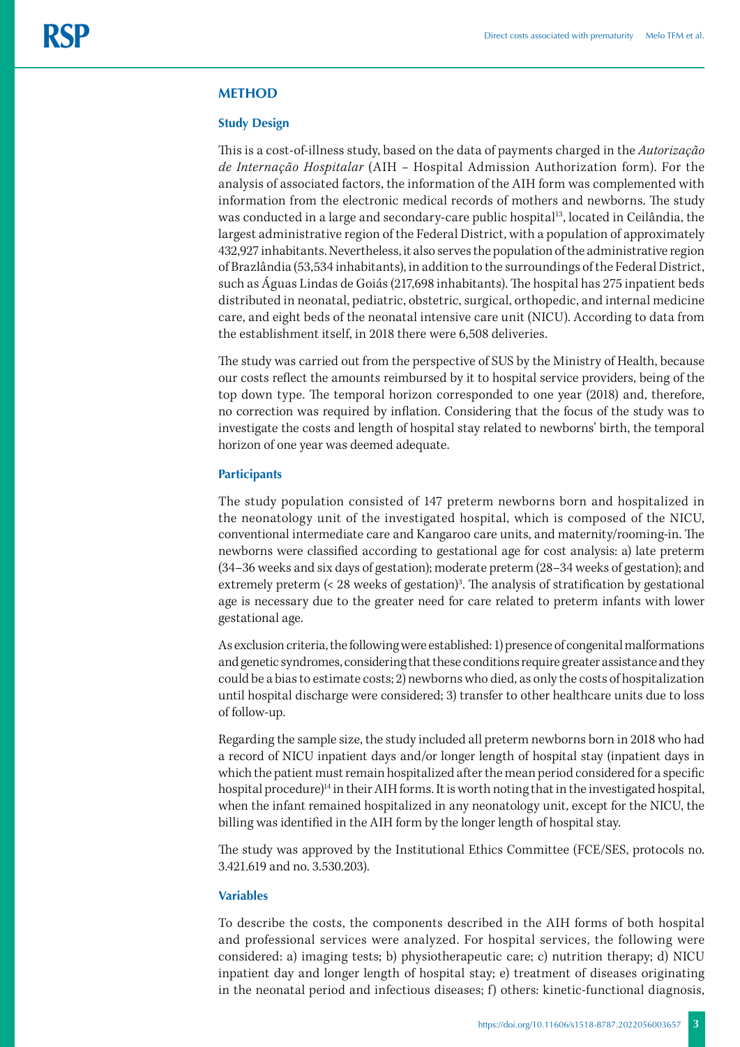#### **METHOD**

#### **Study Design**

This is a cost-of-illness study, based on the data of payments charged in the *Autorização de Internação Hospitalar* (AIH *–* Hospital Admission Authorization form). For the analysis of associated factors, the information of the AIH form was complemented with information from the electronic medical records of mothers and newborns. The study was conducted in a large and secondary-care public hospital<sup>13</sup>, located in Ceilândia, the largest administrative region of the Federal District, with a population of approximately 432,927 inhabitants. Nevertheless, it also serves the population of the administrative region of Brazlândia (53,534 inhabitants), in addition to the surroundings of the Federal District, such as Águas Lindas de Goiás (217,698 inhabitants). The hospital has 275 inpatient beds distributed in neonatal, pediatric, obstetric, surgical, orthopedic, and internal medicine care, and eight beds of the neonatal intensive care unit (NICU). According to data from the establishment itself, in 2018 there were 6,508 deliveries.

The study was carried out from the perspective of SUS by the Ministry of Health, because our costs reflect the amounts reimbursed by it to hospital service providers, being of the top down type. The temporal horizon corresponded to one year (2018) and, therefore, no correction was required by inflation. Considering that the focus of the study was to investigate the costs and length of hospital stay related to newborns' birth, the temporal horizon of one year was deemed adequate.

#### **Participants**

The study population consisted of 147 preterm newborns born and hospitalized in the neonatology unit of the investigated hospital, which is composed of the NICU, conventional intermediate care and Kangaroo care units, and maternity/rooming-in. The newborns were classified according to gestational age for cost analysis: a) late preterm (34–36 weeks and six days of gestation); moderate preterm (28–34 weeks of gestation); and extremely preterm (< 28 weeks of gestation)<sup>3</sup>. The analysis of stratification by gestational age is necessary due to the greater need for care related to preterm infants with lower gestational age.

As exclusion criteria, the following were established: 1) presence of congenital malformations and genetic syndromes, considering that these conditions require greater assistance and they could be a bias to estimate costs; 2) newborns who died, as only the costs of hospitalization until hospital discharge were considered; 3) transfer to other healthcare units due to loss of follow-up.

Regarding the sample size, the study included all preterm newborns born in 2018 who had a record of NICU inpatient days and/or longer length of hospital stay (inpatient days in which the patient must remain hospitalized after the mean period considered for a specific hospital procedure)<sup>14</sup> in their AIH forms. It is worth noting that in the investigated hospital, when the infant remained hospitalized in any neonatology unit, except for the NICU, the billing was identified in the AIH form by the longer length of hospital stay.

The study was approved by the Institutional Ethics Committee (FCE/SES, protocols no. 3.421.619 and no. 3.530.203).

#### **Variables**

To describe the costs, the components described in the AIH forms of both hospital and professional services were analyzed. For hospital services, the following were considered: a) imaging tests; b) physiotherapeutic care; c) nutrition therapy; d) NICU inpatient day and longer length of hospital stay; e) treatment of diseases originating in the neonatal period and infectious diseases; f) others: kinetic-functional diagnosis,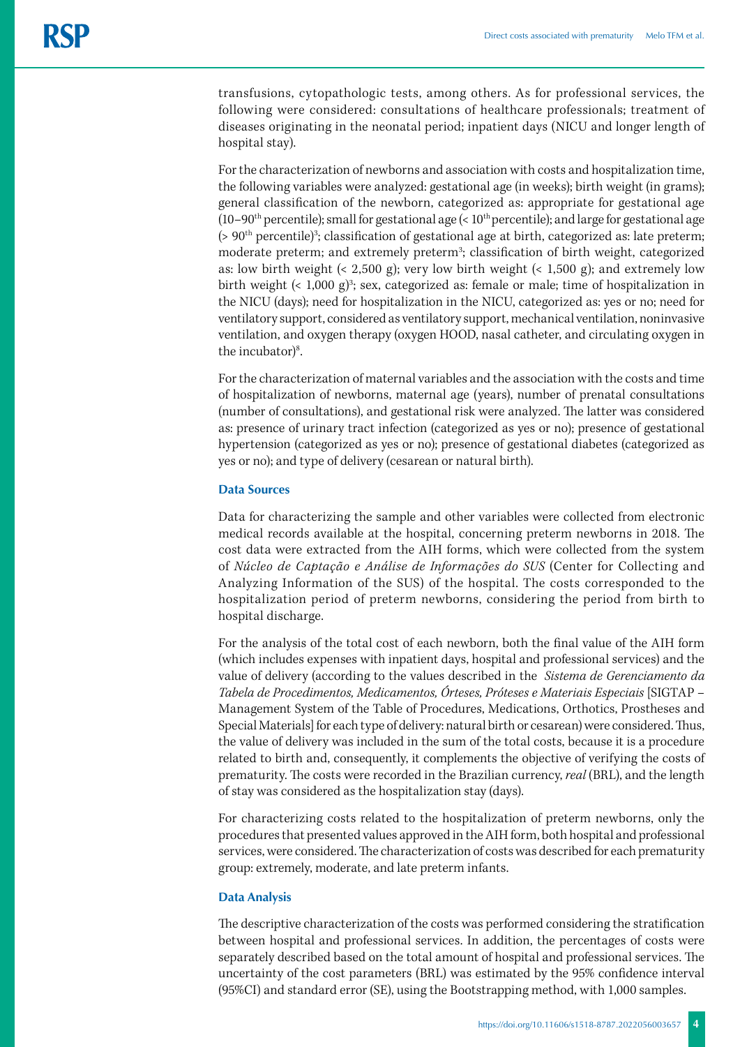transfusions, cytopathologic tests, among others. As for professional services, the following were considered: consultations of healthcare professionals; treatment of diseases originating in the neonatal period; inpatient days (NICU and longer length of hospital stay).

For the characterization of newborns and association with costs and hospitalization time, the following variables were analyzed: gestational age (in weeks); birth weight (in grams); general classification of the newborn, categorized as: appropriate for gestational age (10–90<sup>th</sup> percentile); small for gestational age (<  $10<sup>th</sup>$  percentile); and large for gestational age  $($ >  $90<sup>th</sup>$  percentile)<sup>3</sup>; classification of gestational age at birth, categorized as: late preterm; moderate preterm; and extremely preterm<sup>3</sup>; classification of birth weight, categorized as: low birth weight (< 2,500 g); very low birth weight (< 1,500 g); and extremely low birth weight  $($  1,000 g $)$ <sup>3</sup>; sex, categorized as: female or male; time of hospitalization in the NICU (days); need for hospitalization in the NICU, categorized as: yes or no; need for ventilatory support, considered as ventilatory support, mechanical ventilation, noninvasive ventilation, and oxygen therapy (oxygen HOOD, nasal catheter, and circulating oxygen in the incubator $)^8$ . .

For the characterization of maternal variables and the association with the costs and time of hospitalization of newborns, maternal age (years), number of prenatal consultations (number of consultations), and gestational risk were analyzed. The latter was considered as: presence of urinary tract infection (categorized as yes or no); presence of gestational hypertension (categorized as yes or no); presence of gestational diabetes (categorized as yes or no); and type of delivery (cesarean or natural birth).

## **Data Sources**

Data for characterizing the sample and other variables were collected from electronic medical records available at the hospital, concerning preterm newborns in 2018. The cost data were extracted from the AIH forms, which were collected from the system of *Núcleo de Captação e Análise de Informações do SUS* (Center for Collecting and Analyzing Information of the SUS) of the hospital. The costs corresponded to the hospitalization period of preterm newborns, considering the period from birth to hospital discharge.

For the analysis of the total cost of each newborn, both the final value of the AIH form (which includes expenses with inpatient days, hospital and professional services) and the value of delivery (according to the values described in the *Sistema de Gerenciamento da Tabela de Procedimentos, Medicamentos, Órteses, Próteses e Materiais Especiais* [SIGTAP – Management System of the Table of Procedures, Medications, Orthotics, Prostheses and Special Materials] for each type of delivery: natural birth or cesarean) were considered. Thus, the value of delivery was included in the sum of the total costs, because it is a procedure related to birth and, consequently, it complements the objective of verifying the costs of prematurity. The costs were recorded in the Brazilian currency, *real* (BRL), and the length of stay was considered as the hospitalization stay (days).

For characterizing costs related to the hospitalization of preterm newborns, only the procedures that presented values approved in the AIH form, both hospital and professional services, were considered. The characterization of costs was described for each prematurity group: extremely, moderate, and late preterm infants.

#### **Data Analysis**

The descriptive characterization of the costs was performed considering the stratification between hospital and professional services. In addition, the percentages of costs were separately described based on the total amount of hospital and professional services. The uncertainty of the cost parameters (BRL) was estimated by the 95% confidence interval (95%CI) and standard error (SE), using the Bootstrapping method, with 1,000 samples.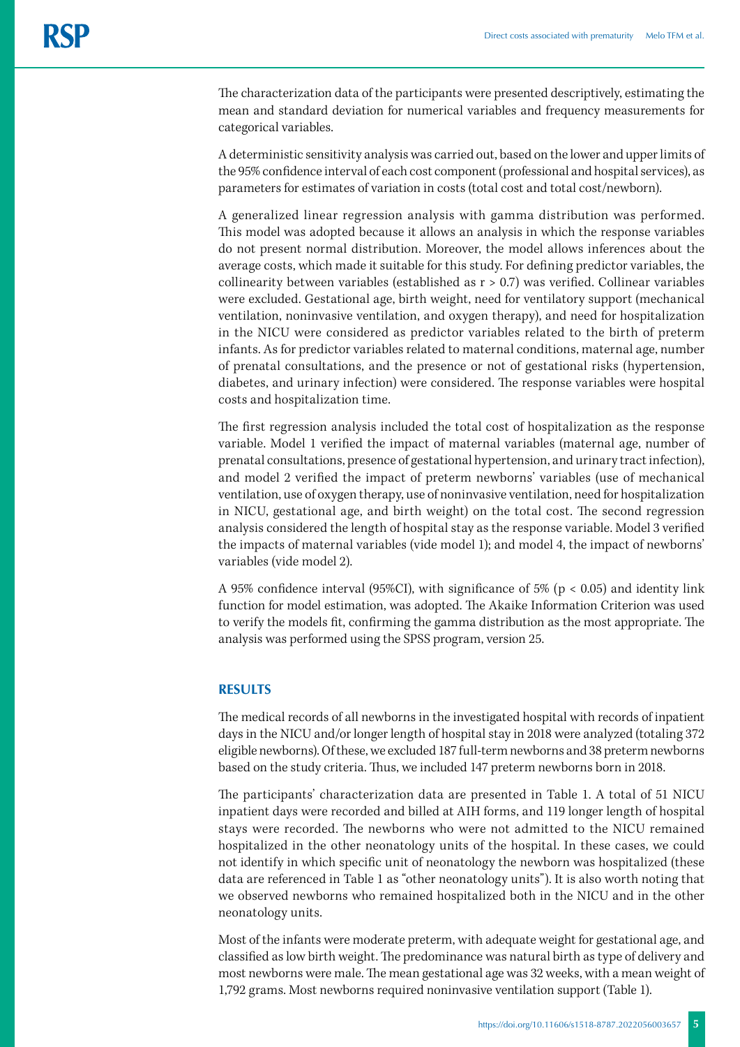The characterization data of the participants were presented descriptively, estimating the mean and standard deviation for numerical variables and frequency measurements for categorical variables.

A deterministic sensitivity analysis was carried out, based on the lower and upper limits of the 95% confidence interval of each cost component (professional and hospital services), as parameters for estimates of variation in costs (total cost and total cost/newborn).

A generalized linear regression analysis with gamma distribution was performed. This model was adopted because it allows an analysis in which the response variables do not present normal distribution. Moreover, the model allows inferences about the average costs, which made it suitable for this study. For defining predictor variables, the collinearity between variables (established as  $r > 0.7$ ) was verified. Collinear variables were excluded. Gestational age, birth weight, need for ventilatory support (mechanical ventilation, noninvasive ventilation, and oxygen therapy), and need for hospitalization in the NICU were considered as predictor variables related to the birth of preterm infants. As for predictor variables related to maternal conditions, maternal age, number of prenatal consultations, and the presence or not of gestational risks (hypertension, diabetes, and urinary infection) were considered. The response variables were hospital costs and hospitalization time.

The first regression analysis included the total cost of hospitalization as the response variable. Model 1 verified the impact of maternal variables (maternal age, number of prenatal consultations, presence of gestational hypertension, and urinary tract infection), and model 2 verified the impact of preterm newborns' variables (use of mechanical ventilation, use of oxygen therapy, use of noninvasive ventilation, need for hospitalization in NICU, gestational age, and birth weight) on the total cost. The second regression analysis considered the length of hospital stay as the response variable. Model 3 verified the impacts of maternal variables (vide model 1); and model 4, the impact of newborns' variables (vide model 2).

A 95% confidence interval (95%CI), with significance of 5% ( $p < 0.05$ ) and identity link function for model estimation, was adopted. The Akaike Information Criterion was used to verify the models fit, confirming the gamma distribution as the most appropriate. The analysis was performed using the SPSS program, version 25.

## **RESULTS**

The medical records of all newborns in the investigated hospital with records of inpatient days in the NICU and/or longer length of hospital stay in 2018 were analyzed (totaling 372 eligible newborns). Of these, we excluded 187 full-term newborns and 38 preterm newborns based on the study criteria. Thus, we included 147 preterm newborns born in 2018.

The participants' characterization data are presented in Table 1. A total of 51 NICU inpatient days were recorded and billed at AIH forms, and 119 longer length of hospital stays were recorded. The newborns who were not admitted to the NICU remained hospitalized in the other neonatology units of the hospital. In these cases, we could not identify in which specific unit of neonatology the newborn was hospitalized (these data are referenced in Table 1 as "other neonatology units"). It is also worth noting that we observed newborns who remained hospitalized both in the NICU and in the other neonatology units.

Most of the infants were moderate preterm, with adequate weight for gestational age, and classified as low birth weight. The predominance was natural birth as type of delivery and most newborns were male. The mean gestational age was 32 weeks, with a mean weight of 1,792 grams. Most newborns required noninvasive ventilation support (Table 1).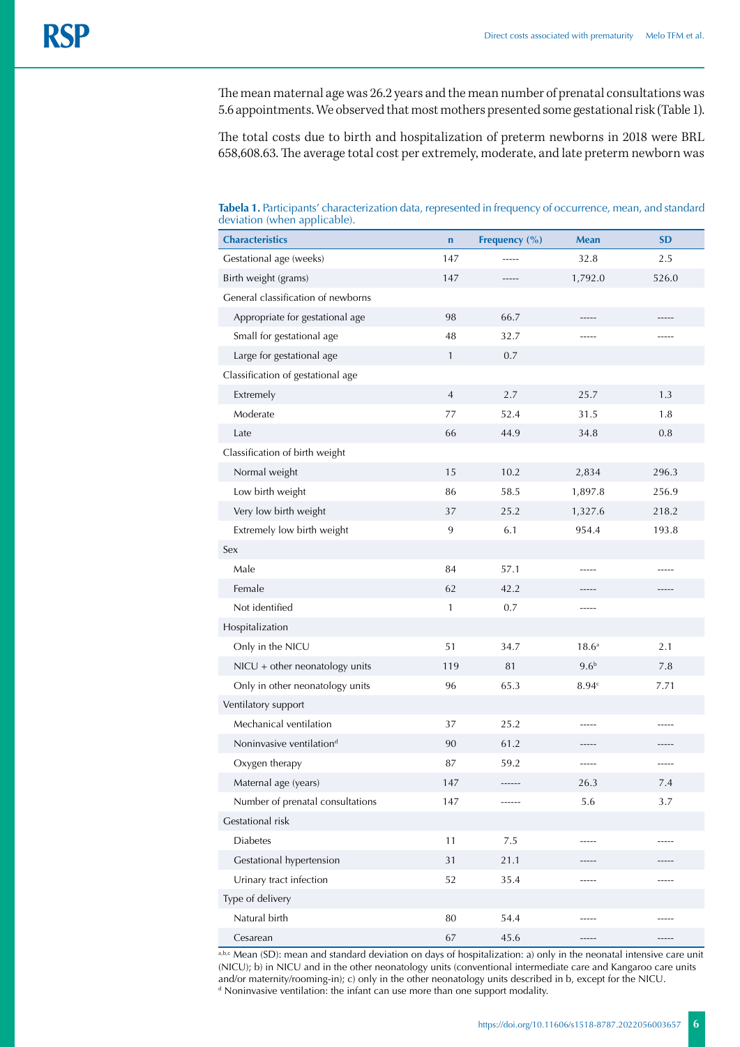The mean maternal age was 26.2 years and the mean number of prenatal consultations was 5.6 appointments. We observed that most mothers presented some gestational risk (Table 1).

The total costs due to birth and hospitalization of preterm newborns in 2018 were BRL 658,608.63. The average total cost per extremely, moderate, and late preterm newborn was

**Tabela 1.** Participants' characterization data, represented in frequency of occurrence, mean, and standard deviation (when applicable).

| <b>Characteristics</b>               | $\mathbf n$    | Frequency (%) | <b>Mean</b>       | <b>SD</b> |
|--------------------------------------|----------------|---------------|-------------------|-----------|
| Gestational age (weeks)              | 147            |               | 32.8              | 2.5       |
| Birth weight (grams)                 | 147            | $- - - - -$   | 1,792.0           | 526.0     |
| General classification of newborns   |                |               |                   |           |
| Appropriate for gestational age      | 98             | 66.7          | -----             |           |
| Small for gestational age            | 48             | 32.7          | -----             |           |
| Large for gestational age            | $\mathbf{1}$   | 0.7           |                   |           |
| Classification of gestational age    |                |               |                   |           |
| Extremely                            | $\overline{4}$ | 2.7           | 25.7              | 1.3       |
| Moderate                             | 77             | 52.4          | 31.5              | 1.8       |
| Late                                 | 66             | 44.9          | 34.8              | 0.8       |
| Classification of birth weight       |                |               |                   |           |
| Normal weight                        | 15             | 10.2          | 2,834             | 296.3     |
| Low birth weight                     | 86             | 58.5          | 1,897.8           | 256.9     |
| Very low birth weight                | 37             | 25.2          | 1,327.6           | 218.2     |
| Extremely low birth weight           | 9              | 6.1           | 954.4             | 193.8     |
| Sex                                  |                |               |                   |           |
| Male                                 | 84             | 57.1          | -----             |           |
| Female                               | 62             | 42.2          | -----             | -----     |
| Not identified                       | $\mathbf{1}$   | 0.7           | -----             |           |
| Hospitalization                      |                |               |                   |           |
| Only in the NICU                     | 51             | 34.7          | 18.6 <sup>a</sup> | 2.1       |
| $NICU + other neonatology units$     | 119            | 81            | 9.6 <sup>b</sup>  | 7.8       |
| Only in other neonatology units      | 96             | 65.3          | 8.94c             | 7.71      |
| Ventilatory support                  |                |               |                   |           |
| Mechanical ventilation               | 37             | 25.2          | -----             | -----     |
| Noninvasive ventilation <sup>d</sup> | 90             | 61.2          | -----             | -----     |
| Oxygen therapy                       | 87             | 59.2          | -----             | -----     |
| Maternal age (years)                 | 147            | ------        | 26.3              | 7.4       |
| Number of prenatal consultations     | 147            | ------        | 5.6               | 3.7       |
| Gestational risk                     |                |               |                   |           |
| <b>Diabetes</b>                      | 11             | 7.5           | -----             | -----     |
| Gestational hypertension             | 31             | 21.1          |                   |           |
| Urinary tract infection              | 52             | 35.4          | -----             | -----     |
| Type of delivery                     |                |               |                   |           |
| Natural birth                        | 80             | 54.4          |                   |           |
| Cesarean                             | 67             | 45.6          | -----             | -----     |

a,b,c Mean (SD): mean and standard deviation on days of hospitalization: a) only in the neonatal intensive care unit (NICU); b) in NICU and in the other neonatology units (conventional intermediate care and Kangaroo care units and/or maternity/rooming-in); c) only in the other neonatology units described in b, except for the NICU. d Noninvasive ventilation: the infant can use more than one support modality.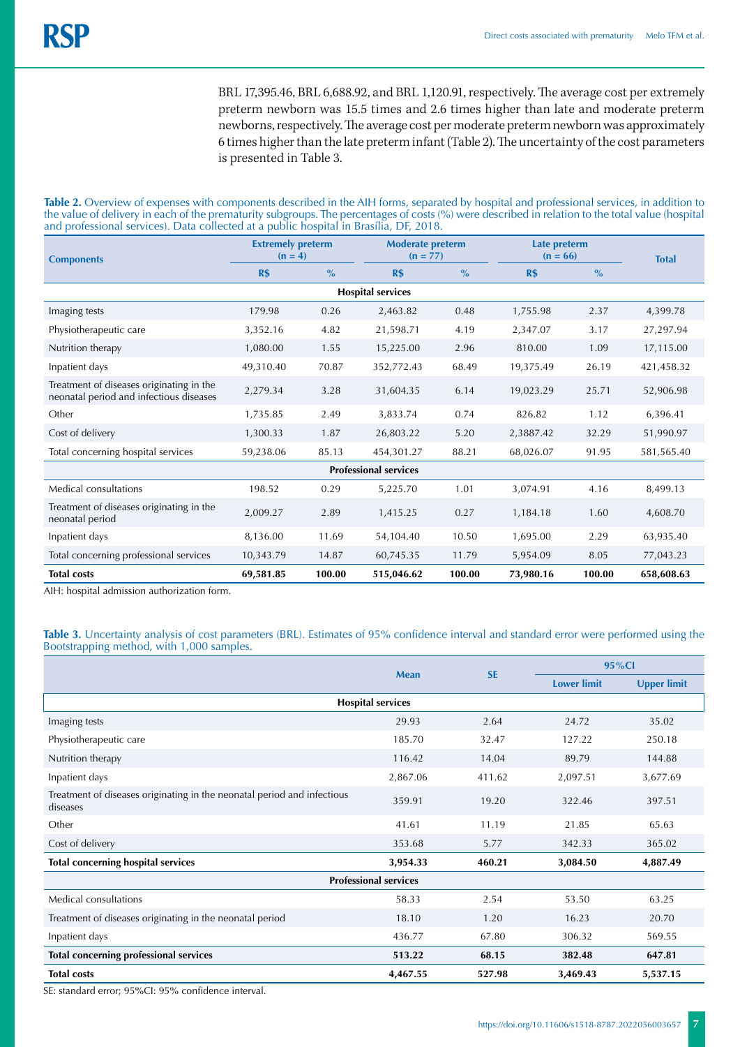BRL 17,395.46, BRL 6,688.92, and BRL 1,120.91, respectively. The average cost per extremely preterm newborn was 15.5 times and 2.6 times higher than late and moderate preterm newborns, respectively. The average cost per moderate preterm newborn was approximately 6 times higher than the late preterm infant (Table 2). The uncertainty of the cost parameters is presented in Table 3.

**Table 2.** Overview of expenses with components described in the AIH forms, separated by hospital and professional services, in addition to the value of delivery in each of the prematurity subgroups. The percentages of costs (%) were described in relation to the total value (hospital and professional services). Data collected at a public hospital in Brasília, DF, 2018.

| <b>Components</b>                                                                   | <b>Extremely preterm</b><br>$(n = 4)$ |               | <b>Moderate preterm</b><br>$(n = 77)$ |        | Late preterm<br>$(n = 66)$ |               | <b>Total</b> |
|-------------------------------------------------------------------------------------|---------------------------------------|---------------|---------------------------------------|--------|----------------------------|---------------|--------------|
|                                                                                     | <b>R\$</b>                            | $\frac{0}{0}$ | <b>R\$</b>                            | $\%$   | <b>R\$</b>                 | $\frac{0}{0}$ |              |
| <b>Hospital services</b>                                                            |                                       |               |                                       |        |                            |               |              |
| Imaging tests                                                                       | 179.98                                | 0.26          | 2,463.82                              | 0.48   | 1,755.98                   | 2.37          | 4,399.78     |
| Physiotherapeutic care                                                              | 3,352.16                              | 4.82          | 21,598.71                             | 4.19   | 2,347.07                   | 3.17          | 27,297.94    |
| Nutrition therapy                                                                   | 1,080.00                              | 1.55          | 15,225.00                             | 2.96   | 810.00                     | 1.09          | 17,115.00    |
| Inpatient days                                                                      | 49,310.40                             | 70.87         | 352,772.43                            | 68.49  | 19,375.49                  | 26.19         | 421,458.32   |
| Treatment of diseases originating in the<br>neonatal period and infectious diseases | 2,279.34                              | 3.28          | 31,604.35                             | 6.14   | 19,023.29                  | 25.71         | 52,906.98    |
| Other                                                                               | 1,735.85                              | 2.49          | 3,833.74                              | 0.74   | 826.82                     | 1.12          | 6,396.41     |
| Cost of delivery                                                                    | 1,300.33                              | 1.87          | 26,803.22                             | 5.20   | 2,3887.42                  | 32.29         | 51,990.97    |
| Total concerning hospital services                                                  | 59,238.06                             | 85.13         | 454,301.27                            | 88.21  | 68,026.07                  | 91.95         | 581,565.40   |
| <b>Professional services</b>                                                        |                                       |               |                                       |        |                            |               |              |
| Medical consultations                                                               | 198.52                                | 0.29          | 5,225.70                              | 1.01   | 3,074.91                   | 4.16          | 8,499.13     |
| Treatment of diseases originating in the<br>neonatal period                         | 2,009.27                              | 2.89          | 1,415.25                              | 0.27   | 1,184.18                   | 1.60          | 4,608.70     |
| Inpatient days                                                                      | 8,136.00                              | 11.69         | 54,104.40                             | 10.50  | 1,695.00                   | 2.29          | 63,935.40    |
| Total concerning professional services                                              | 10,343.79                             | 14.87         | 60,745.35                             | 11.79  | 5,954.09                   | 8.05          | 77,043.23    |
| <b>Total costs</b>                                                                  | 69,581.85                             | 100.00        | 515,046.62                            | 100.00 | 73,980.16                  | 100.00        | 658,608.63   |

AIH: hospital admission authorization form.

**Table 3.** Uncertainty analysis of cost parameters (BRL). Estimates of 95% confidence interval and standard error were performed using the Bootstrapping method, with 1,000 samples.

|                                                                                     | <b>Mean</b> | <b>SE</b> | 95%Cl              |                    |  |  |  |  |
|-------------------------------------------------------------------------------------|-------------|-----------|--------------------|--------------------|--|--|--|--|
|                                                                                     |             |           | <b>Lower limit</b> | <b>Upper limit</b> |  |  |  |  |
| <b>Hospital services</b>                                                            |             |           |                    |                    |  |  |  |  |
| Imaging tests                                                                       | 29.93       | 2.64      | 24.72              | 35.02              |  |  |  |  |
| Physiotherapeutic care                                                              | 185.70      | 32.47     | 127.22             | 250.18             |  |  |  |  |
| Nutrition therapy                                                                   | 116.42      | 14.04     | 89.79              | 144.88             |  |  |  |  |
| Inpatient days                                                                      | 2,867.06    | 411.62    | 2,097.51           | 3,677.69           |  |  |  |  |
| Treatment of diseases originating in the neonatal period and infectious<br>diseases | 359.91      | 19.20     | 322.46             | 397.51             |  |  |  |  |
| Other                                                                               | 41.61       | 11.19     | 21.85              | 65.63              |  |  |  |  |
| Cost of delivery                                                                    | 353.68      | 5.77      | 342.33             | 365.02             |  |  |  |  |
| <b>Total concerning hospital services</b>                                           | 3,954.33    | 460.21    | 3,084.50           | 4,887.49           |  |  |  |  |
| <b>Professional services</b>                                                        |             |           |                    |                    |  |  |  |  |
| Medical consultations                                                               | 58.33       | 2.54      | 53.50              | 63.25              |  |  |  |  |
| Treatment of diseases originating in the neonatal period                            | 18.10       | 1.20      | 16.23              | 20.70              |  |  |  |  |
| Inpatient days                                                                      | 436.77      | 67.80     | 306.32             | 569.55             |  |  |  |  |
| <b>Total concerning professional services</b>                                       | 513.22      | 68.15     | 382.48             | 647.81             |  |  |  |  |
| <b>Total costs</b>                                                                  | 4,467.55    | 527.98    | 3,469.43           | 5,537.15           |  |  |  |  |

SE: standard error; 95%CI: 95% confidence interval.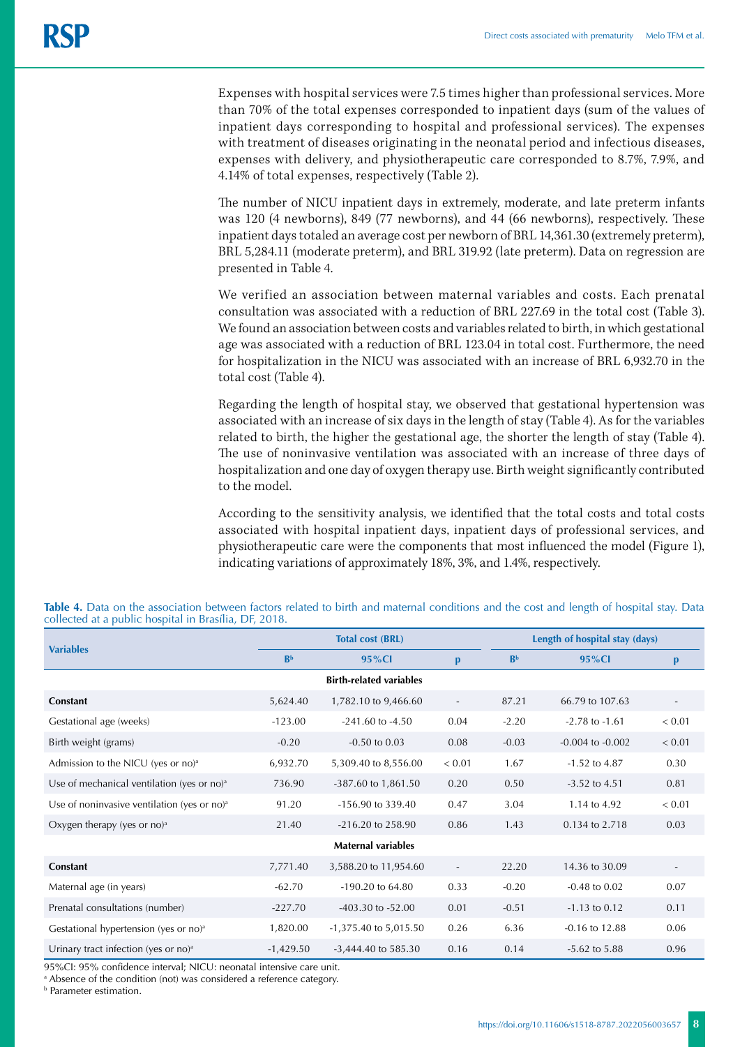Expenses with hospital services were 7.5 times higher than professional services. More than 70% of the total expenses corresponded to inpatient days (sum of the values of inpatient days corresponding to hospital and professional services). The expenses with treatment of diseases originating in the neonatal period and infectious diseases, expenses with delivery, and physiotherapeutic care corresponded to 8.7%, 7.9%, and 4.14% of total expenses, respectively (Table 2).

The number of NICU inpatient days in extremely, moderate, and late preterm infants was 120 (4 newborns), 849 (77 newborns), and 44 (66 newborns), respectively. These inpatient days totaled an average cost per newborn of BRL 14,361.30 (extremely preterm), BRL 5,284.11 (moderate preterm), and BRL 319.92 (late preterm). Data on regression are presented in Table 4.

We verified an association between maternal variables and costs. Each prenatal consultation was associated with a reduction of BRL 227.69 in the total cost (Table 3). We found an association between costs and variables related to birth, in which gestational age was associated with a reduction of BRL 123.04 in total cost. Furthermore, the need for hospitalization in the NICU was associated with an increase of BRL 6,932.70 in the total cost (Table 4).

Regarding the length of hospital stay, we observed that gestational hypertension was associated with an increase of six days in the length of stay (Table 4). As for the variables related to birth, the higher the gestational age, the shorter the length of stay (Table 4). The use of noninvasive ventilation was associated with an increase of three days of hospitalization and one day of oxygen therapy use. Birth weight significantly contributed to the model.

According to the sensitivity analysis, we identified that the total costs and total costs associated with hospital inpatient days, inpatient days of professional services, and physiotherapeutic care were the components that most influenced the model (Figure 1), indicating variations of approximately 18%, 3%, and 1.4%, respectively.

| <b>Variables</b>                                  |                | <b>Total cost (BRL)</b>   |                          | Length of hospital stay (days) |                      |                          |  |  |  |
|---------------------------------------------------|----------------|---------------------------|--------------------------|--------------------------------|----------------------|--------------------------|--|--|--|
|                                                   | R <sub>b</sub> | $95\%$ Cl                 | $\mathbf{p}$             | B <sub>b</sub>                 | 95%Cl                | p                        |  |  |  |
| <b>Birth-related variables</b>                    |                |                           |                          |                                |                      |                          |  |  |  |
| <b>Constant</b>                                   | 5,624.40       | 1,782.10 to 9,466.60      | $\overline{\phantom{a}}$ | 87.21                          | 66.79 to 107.63      | $\overline{\phantom{a}}$ |  |  |  |
| Gestational age (weeks)                           | $-123.00$      | $-241.60$ to $-4.50$      | 0.04                     | $-2.20$                        | $-2.78$ to $-1.61$   | < 0.01                   |  |  |  |
| Birth weight (grams)                              | $-0.20$        | $-0.50$ to $0.03$         | 0.08                     | $-0.03$                        | $-0.004$ to $-0.002$ | < 0.01                   |  |  |  |
| Admission to the NICU (yes or no) <sup>a</sup>    | 6,932.70       | 5,309.40 to 8,556.00      | ${}< 0.01$               | 1.67                           | $-1.52$ to $4.87$    | 0.30                     |  |  |  |
| Use of mechanical ventilation (yes or no) $a$     | 736.90         | -387.60 to 1,861.50       | 0.20                     | 0.50                           | $-3.52$ to 4.51      | 0.81                     |  |  |  |
| Use of noninvasive ventilation (yes or no) $a$    | 91.20          | -156.90 to 339.40         | 0.47                     | 3.04                           | 1.14 to 4.92         | < 0.01                   |  |  |  |
| Oxygen therapy (yes or $no)^a$                    | 21.40          | $-216.20$ to 258.90       | 0.86                     | 1.43                           | 0.134 to 2.718       | 0.03                     |  |  |  |
| <b>Maternal variables</b>                         |                |                           |                          |                                |                      |                          |  |  |  |
| <b>Constant</b>                                   | 7,771.40       | 3,588.20 to 11,954.60     | $\sim$                   | 22.20                          | 14.36 to 30.09       | $\overline{\phantom{a}}$ |  |  |  |
| Maternal age (in years)                           | $-62.70$       | $-190.20$ to 64.80        | 0.33                     | $-0.20$                        | $-0.48$ to $0.02$    | 0.07                     |  |  |  |
| Prenatal consultations (number)                   | $-227.70$      | $-403.30$ to $-52.00$     | 0.01                     | $-0.51$                        | $-1.13$ to 0.12      | 0.11                     |  |  |  |
| Gestational hypertension (yes or no) <sup>a</sup> | 1,820.00       | $-1,375.40$ to $5,015.50$ | 0.26                     | 6.36                           | $-0.16$ to $12.88$   | 0.06                     |  |  |  |
| Urinary tract infection (yes or no) $a$           | $-1,429.50$    | -3,444.40 to 585.30       | 0.16                     | 0.14                           | $-5.62$ to $5.88$    | 0.96                     |  |  |  |

**Table 4.** Data on the association between factors related to birth and maternal conditions and the cost and length of hospital stay. Data collected at a public hospital in Brasília, DF, 2018.

95%CI: 95% confidence interval; NICU: neonatal intensive care unit.

a Absence of the condition (not) was considered a reference category.

b Parameter estimation.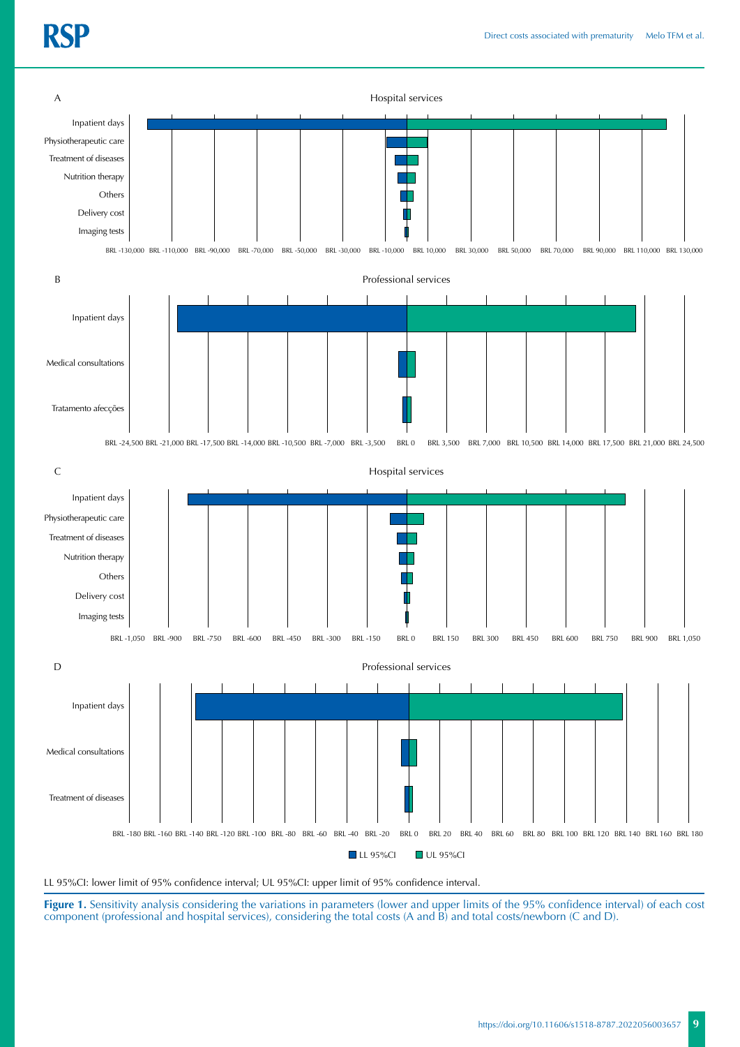

LL 95%CI: lower limit of 95% confidence interval; UL 95%CI: upper limit of 95% confidence interval.

Figure 1. Sensitivity analysis considering the variations in parameters (lower and upper limits of the 95% confidence interval) of each cost component (professional and hospital services), considering the total costs (A and B) and total costs/newborn (C and D).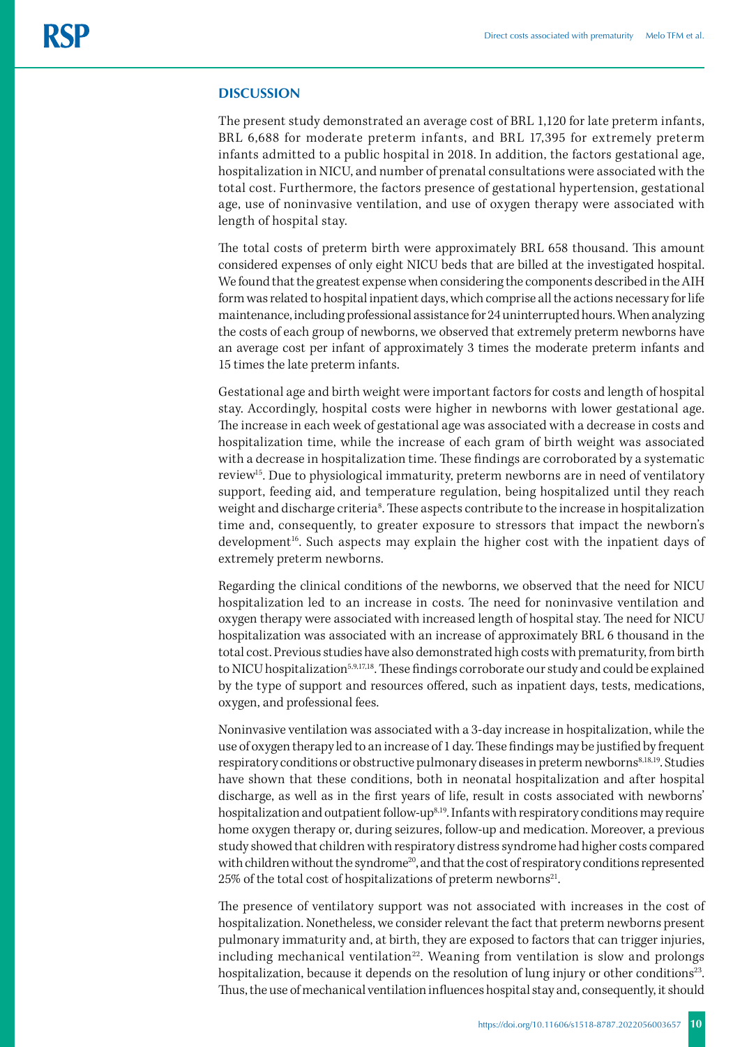## **DISCUSSION**

The present study demonstrated an average cost of BRL 1,120 for late preterm infants, BRL 6,688 for moderate preterm infants, and BRL 17,395 for extremely preterm infants admitted to a public hospital in 2018. In addition, the factors gestational age, hospitalization in NICU, and number of prenatal consultations were associated with the total cost. Furthermore, the factors presence of gestational hypertension, gestational age, use of noninvasive ventilation, and use of oxygen therapy were associated with length of hospital stay.

The total costs of preterm birth were approximately BRL 658 thousand. This amount considered expenses of only eight NICU beds that are billed at the investigated hospital. We found that the greatest expense when considering the components described in the AIH form was related to hospital inpatient days, which comprise all the actions necessary for life maintenance, including professional assistance for 24 uninterrupted hours. When analyzing the costs of each group of newborns, we observed that extremely preterm newborns have an average cost per infant of approximately 3 times the moderate preterm infants and 15 times the late preterm infants.

Gestational age and birth weight were important factors for costs and length of hospital stay. Accordingly, hospital costs were higher in newborns with lower gestational age. The increase in each week of gestational age was associated with a decrease in costs and hospitalization time, while the increase of each gram of birth weight was associated with a decrease in hospitalization time. These findings are corroborated by a systematic review15. Due to physiological immaturity, preterm newborns are in need of ventilatory support, feeding aid, and temperature regulation, being hospitalized until they reach weight and discharge criteria<sup>8</sup>. These aspects contribute to the increase in hospitalization time and, consequently, to greater exposure to stressors that impact the newborn's development<sup>16</sup>. Such aspects may explain the higher cost with the inpatient days of extremely preterm newborns.

Regarding the clinical conditions of the newborns, we observed that the need for NICU hospitalization led to an increase in costs. The need for noninvasive ventilation and oxygen therapy were associated with increased length of hospital stay. The need for NICU hospitalization was associated with an increase of approximately BRL 6 thousand in the total cost. Previous studies have also demonstrated high costs with prematurity, from birth to NICU hospitalization<sup>5,9,17,18</sup>. These findings corroborate our study and could be explained by the type of support and resources offered, such as inpatient days, tests, medications, oxygen, and professional fees.

Noninvasive ventilation was associated with a 3-day increase in hospitalization, while the use of oxygen therapy led to an increase of 1 day. These findings may be justified by frequent respiratory conditions or obstructive pulmonary diseases in preterm newborns<sup>8,18,19</sup>. Studies have shown that these conditions, both in neonatal hospitalization and after hospital discharge, as well as in the first years of life, result in costs associated with newborns' hospitalization and outpatient follow-up<sup>8,19</sup>. Infants with respiratory conditions may require home oxygen therapy or, during seizures, follow-up and medication. Moreover, a previous study showed that children with respiratory distress syndrome had higher costs compared with children without the syndrome<sup>20</sup>, and that the cost of respiratory conditions represented 25% of the total cost of hospitalizations of preterm newborns<sup>21</sup>.

The presence of ventilatory support was not associated with increases in the cost of hospitalization. Nonetheless, we consider relevant the fact that preterm newborns present pulmonary immaturity and, at birth, they are exposed to factors that can trigger injuries, including mechanical ventilation $22$ . Weaning from ventilation is slow and prolongs hospitalization, because it depends on the resolution of lung injury or other conditions<sup>23</sup>. Thus, the use of mechanical ventilation influences hospital stay and, consequently, it should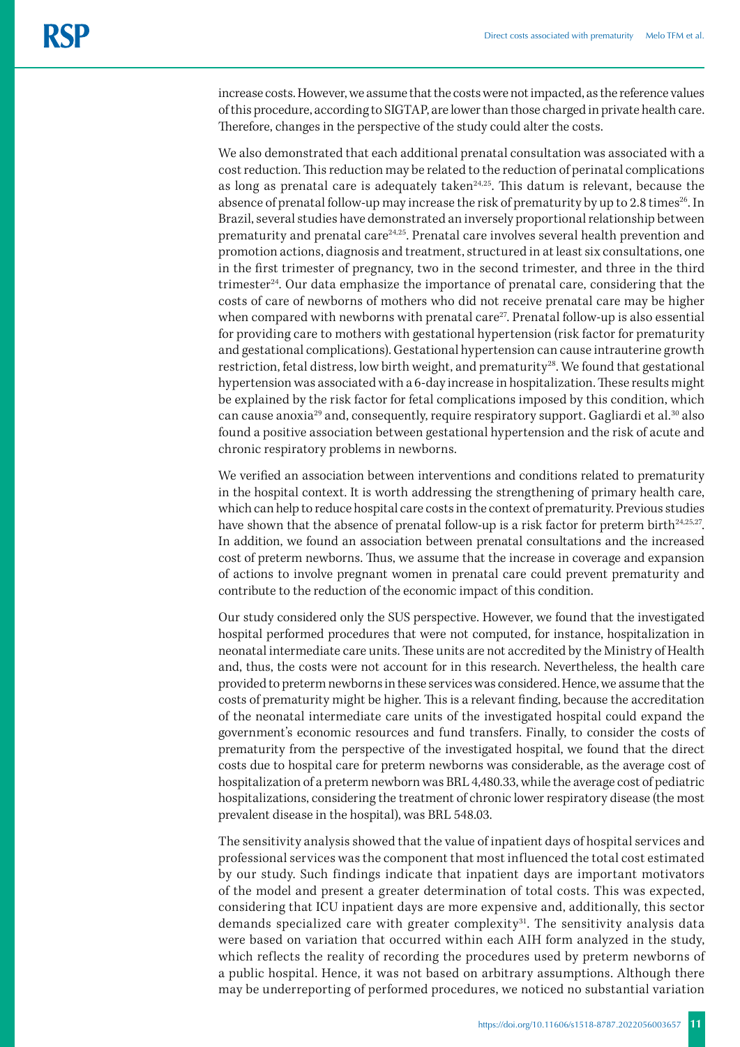increase costs. However, we assume that the costs were not impacted, as the reference values of this procedure, according to SIGTAP, are lower than those charged in private health care. Therefore, changes in the perspective of the study could alter the costs.

We also demonstrated that each additional prenatal consultation was associated with a cost reduction. This reduction may be related to the reduction of perinatal complications as long as prenatal care is adequately taken $24,25$ . This datum is relevant, because the absence of prenatal follow-up may increase the risk of prematurity by up to 2.8 times<sup>26</sup>. In Brazil, several studies have demonstrated an inversely proportional relationship between prematurity and prenatal care<sup>24,25</sup>. Prenatal care involves several health prevention and promotion actions, diagnosis and treatment, structured in at least six consultations, one in the first trimester of pregnancy, two in the second trimester, and three in the third trimester<sup>24</sup>. Our data emphasize the importance of prenatal care, considering that the costs of care of newborns of mothers who did not receive prenatal care may be higher when compared with newborns with prenatal care<sup>27</sup>. Prenatal follow-up is also essential for providing care to mothers with gestational hypertension (risk factor for prematurity and gestational complications). Gestational hypertension can cause intrauterine growth restriction, fetal distress, low birth weight, and prematurity<sup>28</sup>. We found that gestational hypertension was associated with a 6-day increase in hospitalization. These results might be explained by the risk factor for fetal complications imposed by this condition, which can cause anoxia29 and, consequently, require respiratory support. Gagliardi et al.30 also found a positive association between gestational hypertension and the risk of acute and chronic respiratory problems in newborns.

We verified an association between interventions and conditions related to prematurity in the hospital context. It is worth addressing the strengthening of primary health care, which can help to reduce hospital care costs in the context of prematurity. Previous studies have shown that the absence of prenatal follow-up is a risk factor for preterm birth<sup>24,25,27</sup>. In addition, we found an association between prenatal consultations and the increased cost of preterm newborns. Thus, we assume that the increase in coverage and expansion of actions to involve pregnant women in prenatal care could prevent prematurity and contribute to the reduction of the economic impact of this condition.

Our study considered only the SUS perspective. However, we found that the investigated hospital performed procedures that were not computed, for instance, hospitalization in neonatal intermediate care units. These units are not accredited by the Ministry of Health and, thus, the costs were not account for in this research. Nevertheless, the health care provided to preterm newborns in these services was considered. Hence, we assume that the costs of prematurity might be higher. This is a relevant finding, because the accreditation of the neonatal intermediate care units of the investigated hospital could expand the government's economic resources and fund transfers. Finally, to consider the costs of prematurity from the perspective of the investigated hospital, we found that the direct costs due to hospital care for preterm newborns was considerable, as the average cost of hospitalization of a preterm newborn was BRL 4,480.33, while the average cost of pediatric hospitalizations, considering the treatment of chronic lower respiratory disease (the most prevalent disease in the hospital), was BRL 548.03.

The sensitivity analysis showed that the value of inpatient days of hospital services and professional services was the component that most influenced the total cost estimated by our study. Such findings indicate that inpatient days are important motivators of the model and present a greater determination of total costs. This was expected, considering that ICU inpatient days are more expensive and, additionally, this sector demands specialized care with greater complexity<sup>31</sup>. The sensitivity analysis data were based on variation that occurred within each AIH form analyzed in the study, which reflects the reality of recording the procedures used by preterm newborns of a public hospital. Hence, it was not based on arbitrary assumptions. Although there may be underreporting of performed procedures, we noticed no substantial variation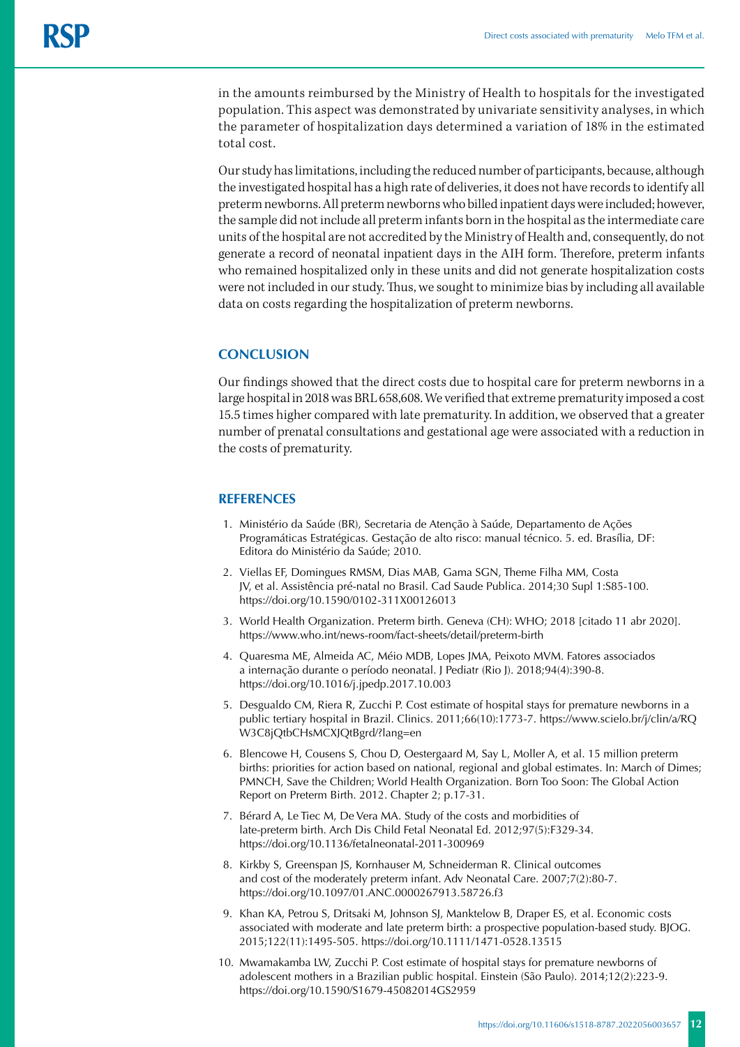in the amounts reimbursed by the Ministry of Health to hospitals for the investigated population. This aspect was demonstrated by univariate sensitivity analyses, in which the parameter of hospitalization days determined a variation of 18% in the estimated total cost.

Our study has limitations, including the reduced number of participants, because, although the investigated hospital has a high rate of deliveries, it does not have records to identify all preterm newborns. All preterm newborns who billed inpatient days were included; however, the sample did not include all preterm infants born in the hospital as the intermediate care units of the hospital are not accredited by the Ministry of Health and, consequently, do not generate a record of neonatal inpatient days in the AIH form. Therefore, preterm infants who remained hospitalized only in these units and did not generate hospitalization costs were not included in our study. Thus, we sought to minimize bias by including all available data on costs regarding the hospitalization of preterm newborns.

## **CONCLUSION**

Our findings showed that the direct costs due to hospital care for preterm newborns in a large hospital in 2018 was BRL 658,608. We verified that extreme prematurity imposed a cost 15.5 times higher compared with late prematurity. In addition, we observed that a greater number of prenatal consultations and gestational age were associated with a reduction in the costs of prematurity.

## **REFERENCES**

- 1. Ministério da Saúde (BR), Secretaria de Atenção à Saúde, Departamento de Ações Programáticas Estratégicas. Gestação de alto risco: manual técnico. 5. ed. Brasília, DF: Editora do Ministério da Saúde; 2010.
- 2. Viellas EF, Domingues RMSM, Dias MAB, Gama SGN, Theme Filha MM, Costa JV, et al. Assistência pré-natal no Brasil. Cad Saude Publica. 2014;30 Supl 1:S85-100. https://doi.org/10.1590/0102-311X00126013
- 3. World Health Organization. Preterm birth. Geneva (CH): WHO; 2018 [citado 11 abr 2020]. <https://www.who.int/news-room/fact-sheets/detail/preterm-birth>
- 4. Quaresma ME, Almeida AC, Méio MDB, Lopes JMA, Peixoto MVM. Fatores associados a internação durante o período neonatal. J Pediatr (Rio J). 2018;94(4):390-8. https://doi.org/10.1016/j.jpedp.2017.10.003
- 5. Desgualdo CM, Riera R, Zucchi P. Cost estimate of hospital stays for premature newborns in a public tertiary hospital in Brazil. Clinics. 2011;66(10):1773-7. [https://www.scielo.br/j/clin/a/RQ](https://www.scielo.br/j/clin/a/RQW3C8jQtbCHsMCXJQtBgrd/?lang=en) [W3C8jQtbCHsMCXJQtBgrd/?lang=en](https://www.scielo.br/j/clin/a/RQW3C8jQtbCHsMCXJQtBgrd/?lang=en)
- 6. Blencowe H, Cousens S, Chou D, Oestergaard M, Say L, Moller A, et al. 15 million preterm births: priorities for action based on national, regional and global estimates. In: March of Dimes; PMNCH, Save the Children; World Health Organization. Born Too Soon: The Global Action Report on Preterm Birth. 2012. Chapter 2; p.17-31.
- 7. Bérard A, Le Tiec M, De Vera MA. Study of the costs and morbidities of late-preterm birth. Arch Dis Child Fetal Neonatal Ed. 2012;97(5):F329-34. https://doi.org/10.1136/fetalneonatal-2011-300969
- 8. Kirkby S, Greenspan JS, Kornhauser M, Schneiderman R. Clinical outcomes and cost of the moderately preterm infant. Adv Neonatal Care. 2007;7(2):80-7. https://doi.org/10.1097/01.ANC.0000267913.58726.f3
- 9. Khan KA, Petrou S, Dritsaki M, Johnson SJ, Manktelow B, Draper ES, et al. Economic costs associated with moderate and late preterm birth: a prospective population-based study. BJOG. 2015;122(11):1495-505. https://doi.org/10.1111/1471-0528.13515
- 10. Mwamakamba LW, Zucchi P. Cost estimate of hospital stays for premature newborns of adolescent mothers in a Brazilian public hospital. Einstein (São Paulo). 2014;12(2):223-9. https://doi.org/10.1590/S1679-45082014GS2959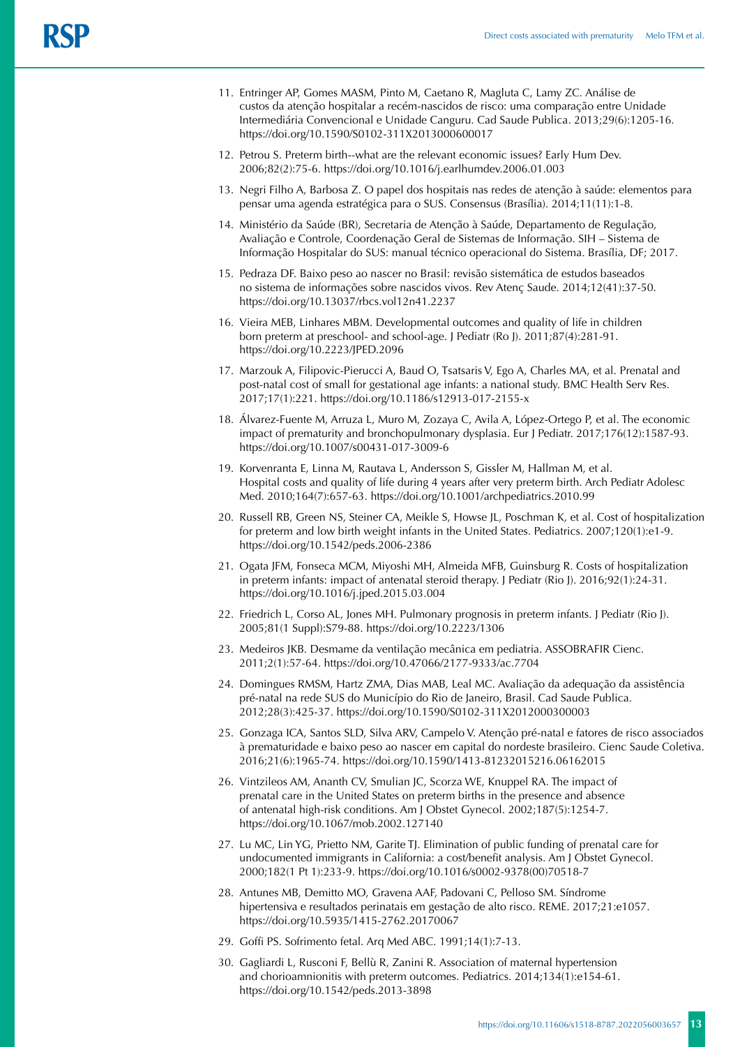- 11. Entringer AP, Gomes MASM, Pinto M, Caetano R, Magluta C, Lamy ZC. Análise de custos da atenção hospitalar a recém-nascidos de risco: uma comparação entre Unidade Intermediária Convencional e Unidade Canguru. Cad Saude Publica. 2013;29(6):1205-16. https://doi.org/10.1590/S0102-311X2013000600017
- 12. Petrou S. Preterm birth--what are the relevant economic issues? Early Hum Dev. 2006;82(2):75-6. https://doi.org/10.1016/j.earlhumdev.2006.01.003
- 13. Negri Filho A, Barbosa Z. O papel dos hospitais nas redes de atenção à saúde: elementos para pensar uma agenda estratégica para o SUS. Consensus (Brasília). 2014;11(11):1-8.
- 14. Ministério da Saúde (BR), Secretaria de Atenção à Saúde, Departamento de Regulação, Avaliação e Controle, Coordenação Geral de Sistemas de Informação. SIH – Sistema de Informação Hospitalar do SUS: manual técnico operacional do Sistema. Brasília, DF; 2017.
- 15. Pedraza DF. Baixo peso ao nascer no Brasil: revisão sistemática de estudos baseados no sistema de informações sobre nascidos vivos. Rev Atenç Saude. 2014;12(41):37-50. https://doi.org/10.13037/rbcs.vol12n41.2237
- 16. Vieira MEB, Linhares MBM. Developmental outcomes and quality of life in children born preterm at preschool- and school-age. J Pediatr (Ro J). 2011;87(4):281-91. https://doi.org/10.2223/JPED.2096
- 17. Marzouk A, Filipovic-Pierucci A, Baud O, Tsatsaris V, Ego A, Charles MA, et al. Prenatal and post-natal cost of small for gestational age infants: a national study. BMC Health Serv Res. 2017;17(1):221. https://doi.org/10.1186/s12913-017-2155-x
- 18. Álvarez-Fuente M, Arruza L, Muro M, Zozaya C, Avila A, López-Ortego P, et al. The economic impact of prematurity and bronchopulmonary dysplasia. Eur J Pediatr. 2017;176(12):1587-93. https://doi.org/10.1007/s00431-017-3009-6
- 19. Korvenranta E, Linna M, Rautava L, Andersson S, Gissler M, Hallman M, et al. Hospital costs and quality of life during 4 years after very preterm birth. Arch Pediatr Adolesc Med. 2010;164(7):657-63. https://doi.org[/10.1001/archpediatrics.2010.99](https://doi.org/10.1001/archpediatrics.2010.99)
- 20. Russell RB, Green NS, Steiner CA, Meikle S, Howse JL, Poschman K, et al. Cost of hospitalization for preterm and low birth weight infants in the United States. Pediatrics. 2007;120(1):e1-9. https://doi.org/10.1542/peds.2006-2386
- 21. Ogata JFM, Fonseca MCM, Miyoshi MH, Almeida MFB, Guinsburg R. Costs of hospitalization in preterm infants: impact of antenatal steroid therapy. J Pediatr (Rio J). 2016;92(1):24-31. https://doi.org/10.1016/j.jped.2015.03.004
- 22. Friedrich L, Corso AL, Jones MH. Pulmonary prognosis in preterm infants. J Pediatr (Rio J). 2005;81(1 Suppl):S79-88. https://doi.org/10.2223/1306
- 23. Medeiros JKB. Desmame da ventilação mecânica em pediatria. ASSOBRAFIR Cienc. 2011;2(1):57-64. https://doi.org/10.47066/2177-9333/ac.7704
- 24. Domingues RMSM, Hartz ZMA, Dias MAB, Leal MC. Avaliação da adequação da assistência pré-natal na rede SUS do Município do Rio de Janeiro, Brasil. Cad Saude Publica. 2012;28(3):425-37. https://doi.org/10.1590/S0102-311X2012000300003
- 25. Gonzaga ICA, Santos SLD, Silva ARV, Campelo V. Atenção pré-natal e fatores de risco associados à prematuridade e baixo peso ao nascer em capital do nordeste brasileiro. Cienc Saude Coletiva. 2016;21(6):1965-74. https://doi.org/10.1590/1413-81232015216.06162015
- 26. Vintzileos AM, Ananth CV, Smulian JC, Scorza WE, Knuppel RA. The impact of prenatal care in the United States on preterm births in the presence and absence of antenatal high-risk conditions. Am J Obstet Gynecol. 2002;187(5):1254-7. https://doi.org/10.1067/mob.2002.127140
- 27. Lu MC, Lin YG, Prietto NM, Garite TJ. Elimination of public funding of prenatal care for undocumented immigrants in California: a cost/benefit analysis. Am J Obstet Gynecol. 2000;182(1 Pt 1):233-9. https://doi.org/10.1016/s0002-9378(00)70518-7
- 28. Antunes MB, Demitto MO, Gravena AAF, Padovani C, Pelloso SM. Síndrome hipertensiva e resultados perinatais em gestação de alto risco. REME. 2017;21:e1057. https://doi.org/10.5935/1415-2762.20170067
- 29. Goffi PS. Sofrimento fetal. Arq Med ABC. 1991;14(1):7-13.
- 30. Gagliardi L, Rusconi F, Bellù R, Zanini R. Association of maternal hypertension and chorioamnionitis with preterm outcomes. Pediatrics. 2014;134(1):e154-61. https://doi.org/10.1542/peds.2013-3898